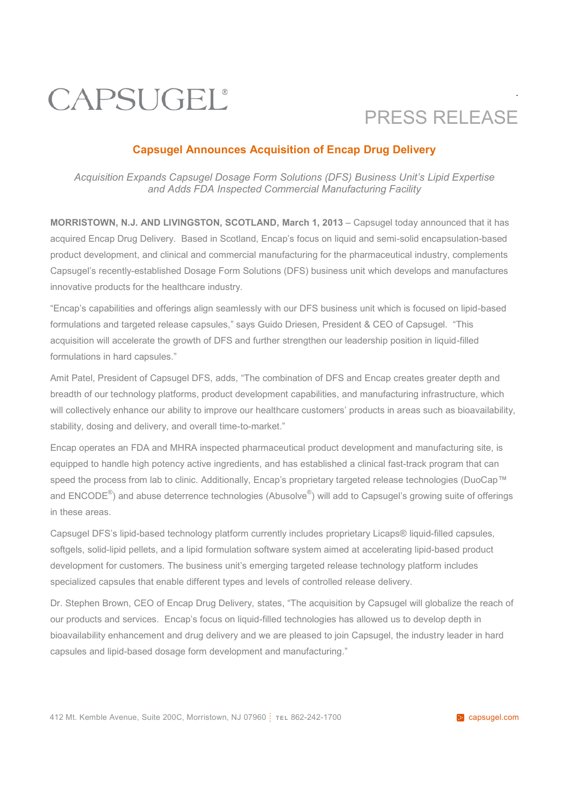## CAPSUGEL®

## PRESS RELEASE

.

#### **Capsugel Announces Acquisition of Encap Drug Delivery**

*Acquisition Expands Capsugel Dosage Form Solutions (DFS) Business Unit's Lipid Expertise and Adds FDA Inspected Commercial Manufacturing Facility*

**MORRISTOWN, N.J. AND LIVINGSTON, SCOTLAND, March 1, 2013** – Capsugel today announced that it has acquired Encap Drug Delivery. Based in Scotland, Encap's focus on liquid and semi-solid encapsulation-based product development, and clinical and commercial manufacturing for the pharmaceutical industry, complements Capsugel's recently-established Dosage Form Solutions (DFS) business unit which develops and manufactures innovative products for the healthcare industry.

"Encap's capabilities and offerings align seamlessly with our DFS business unit which is focused on lipid-based formulations and targeted release capsules," says Guido Driesen, President & CEO of Capsugel. "This acquisition will accelerate the growth of DFS and further strengthen our leadership position in liquid-filled formulations in hard capsules."

Amit Patel, President of Capsugel DFS, adds, "The combination of DFS and Encap creates greater depth and breadth of our technology platforms, product development capabilities, and manufacturing infrastructure, which will collectively enhance our ability to improve our healthcare customers' products in areas such as bioavailability, stability, dosing and delivery, and overall time-to-market."

Encap operates an FDA and MHRA inspected pharmaceutical product development and manufacturing site, is equipped to handle high potency active ingredients, and has established a clinical fast-track program that can speed the process from lab to clinic. Additionally, Encap's proprietary targeted release technologies (DuoCap™ and ENCODE<sup>®</sup>) and abuse deterrence technologies (Abusolve<sup>®</sup>) will add to Capsugel's growing suite of offerings in these areas.

Capsugel DFS's lipid-based technology platform currently includes proprietary Licaps® liquid-filled capsules*,* softgels, solid-lipid pellets, and a lipid formulation software system aimed at accelerating lipid-based product development for customers. The business unit's emerging targeted release technology platform includes specialized capsules that enable different types and levels of controlled release delivery.

Dr. Stephen Brown, CEO of Encap Drug Delivery, states, "The acquisition by Capsugel will globalize the reach of our products and services. Encap's focus on liquid-filled technologies has allowed us to develop depth in bioavailability enhancement and drug delivery and we are pleased to join Capsugel, the industry leader in hard capsules and lipid-based dosage form development and manufacturing."

412 Mt. Kemble Avenue, Suite 200C, Morristown, NJ 07960 **TEL 862-242-1700 capsugel.com**